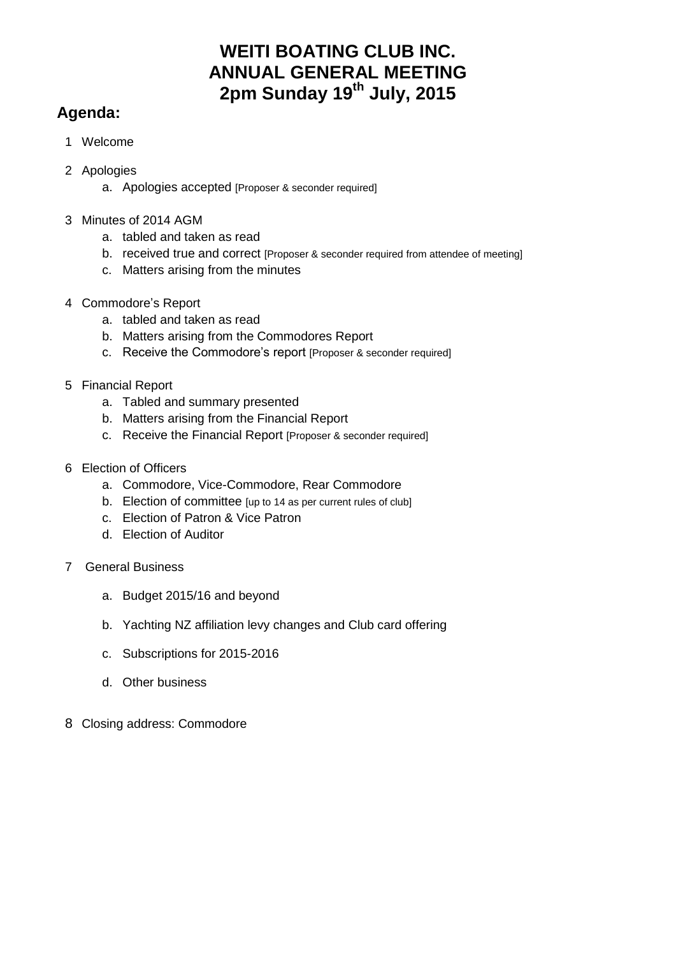# **WEITI BOATING CLUB INC. ANNUAL GENERAL MEETING 2pm Sunday 19th July, 2015**

# **Agenda:**

- 1 Welcome
- 2 Apologies
	- a. Apologies accepted [Proposer & seconder required]
- 3 Minutes of 2014 AGM
	- a. tabled and taken as read
	- b. received true and correct [Proposer & seconder required from attendee of meeting]
	- c. Matters arising from the minutes
- 4 Commodore's Report
	- a. tabled and taken as read
	- b. Matters arising from the Commodores Report
	- c. Receive the Commodore's report [Proposer & seconder required]
- 5 Financial Report
	- a. Tabled and summary presented
	- b. Matters arising from the Financial Report
	- c. Receive the Financial Report [Proposer & seconder required]
- 6 Election of Officers
	- a. Commodore, Vice-Commodore, Rear Commodore
	- b. Election of committee [up to 14 as per current rules of club]
	- c. Election of Patron & Vice Patron
	- d. Election of Auditor
- 7 General Business
	- a. Budget 2015/16 and beyond
	- b. Yachting NZ affiliation levy changes and Club card offering
	- c. Subscriptions for 2015-2016
	- d. Other business
- 8 Closing address: Commodore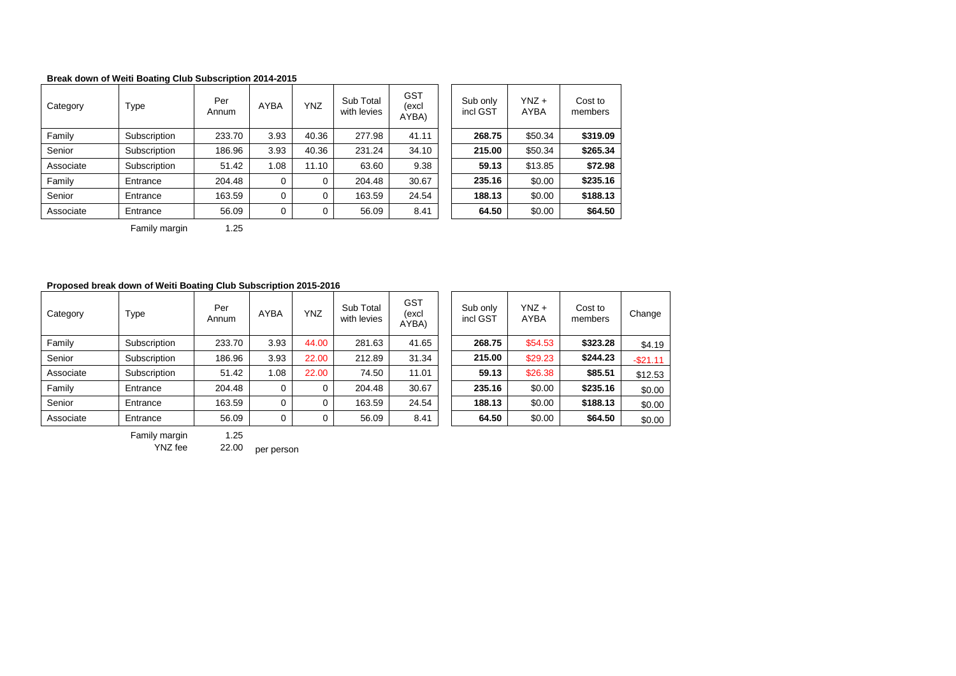### **Break down of Weiti Boating Club Subscription 2014-2015**

| Category  | Type         | Per<br>Annum | <b>AYBA</b> | <b>YNZ</b> | Sub Total<br>with levies | <b>GST</b><br>(excl<br>AYBA) | Sub only<br>incl GST | $YNZ +$<br>AYBA | Cost to<br>members |
|-----------|--------------|--------------|-------------|------------|--------------------------|------------------------------|----------------------|-----------------|--------------------|
| Family    | Subscription | 233.70       | 3.93        | 40.36      | 277.98                   | 41.11                        | 268.75               | \$50.34         | \$319.09           |
| Senior    | Subscription | 186.96       | 3.93        | 40.36      | 231.24                   | 34.10                        | 215.00               | \$50.34         | \$265.34           |
| Associate | Subscription | 51.42        | 1.08        | 11.10      | 63.60                    | 9.38                         | 59.13                | \$13.85         | \$72.98            |
| Family    | Entrance     | 204.48       | 0           | 0          | 204.48                   | 30.67                        | 235.16               | \$0.00          | \$235.16           |
| Senior    | Entrance     | 163.59       | $\Omega$    | 0          | 163.59                   | 24.54                        | 188.13               | \$0.00          | \$188.13           |
| Associate | Entrance     | 56.09        | 0           | 0          | 56.09                    | 8.41                         | 64.50                | \$0.00          | \$64.50            |

| Sub only<br>incl GST | $YNZ +$<br><b>AYBA</b> | Cost to<br>members |
|----------------------|------------------------|--------------------|
| 268.75               | \$50.34                | \$319.09           |
| 215.00               | \$50.34                | \$265.34           |
| 59.13                | \$13.85                | \$72.98            |
| 235.16               | \$0.00                 | \$235.16           |
| 188.13               | \$0.00                 | \$188.13           |
| 64.50                | \$0.00                 | \$64.50            |

Family margin 1.25

#### **Proposed break down of Weiti Boating Club Subscription 2015-2016**

| Category  | Type         | Per<br>Annum | <b>AYBA</b> | <b>YNZ</b> | Sub Total<br>with levies | GST<br>(excl<br>AYBA) | Sub only<br>incl GST | $YNZ +$<br>AYBA | Cost to<br>members | Change    |
|-----------|--------------|--------------|-------------|------------|--------------------------|-----------------------|----------------------|-----------------|--------------------|-----------|
| Family    | Subscription | 233.70       | 3.93        | 44.00      | 281.63                   | 41.65                 | 268.75               | \$54.53         | \$323.28           | \$4.19    |
| Senior    | Subscription | 186.96       | 3.93        | 22.00      | 212.89                   | 31.34                 | 215.00               | \$29.23         | \$244.23           | $-$21.11$ |
| Associate | Subscription | 51.42        | 1.08        | 22.00      | 74.50                    | 11.01                 | 59.13                | \$26.38         | \$85.51            | \$12.53   |
| Family    | Entrance     | 204.48       |             | 0          | 204.48                   | 30.67                 | 235.16               | \$0.00          | \$235.16           | \$0.00    |
| Senior    | Entrance     | 163.59       | 0           | 0          | 163.59                   | 24.54                 | 188.13               | \$0.00          | \$188.13           | \$0.00    |
| Associate | Entrance     | 56.09        | 0           | 0          | 56.09                    | 8.41                  | 64.50                | \$0.00          | \$64.50            | \$0.00    |

| Sub only<br>incl GST | $YNZ +$<br>AYBA | Cost to<br>members | Change    |
|----------------------|-----------------|--------------------|-----------|
| 268.75               | \$54.53         | \$323.28           | \$4.19    |
| 215.00               | \$29.23         | \$244.23           | $-$21.11$ |
| 59.13                | \$26.38         | \$85.51            | \$12.53   |
| 235.16               | \$0.00          | \$235.16           | \$0.00    |
| 188.13               | \$0.00          | \$188.13           | \$0.00    |
| 64.50                | \$0.00          | \$64.50            | \$0.00    |

Family margin 1.25<br>YNZ fee 22.00

22.00 per person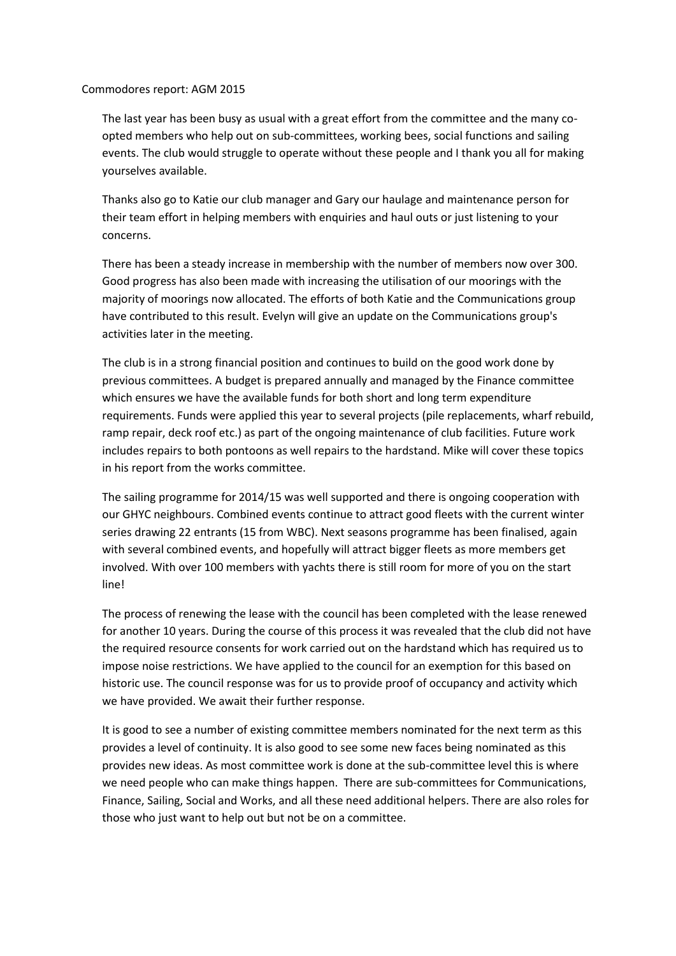## Commodores report: AGM 2015

The last year has been busy as usual with a great effort from the committee and the many coopted members who help out on sub-committees, working bees, social functions and sailing events. The club would struggle to operate without these people and I thank you all for making yourselves available.

Thanks also go to Katie our club manager and Gary our haulage and maintenance person for their team effort in helping members with enquiries and haul outs or just listening to your concerns.

There has been a steady increase in membership with the number of members now over 300. Good progress has also been made with increasing the utilisation of our moorings with the majority of moorings now allocated. The efforts of both Katie and the Communications group have contributed to this result. Evelyn will give an update on the Communications group's activities later in the meeting.

The club is in a strong financial position and continues to build on the good work done by previous committees. A budget is prepared annually and managed by the Finance committee which ensures we have the available funds for both short and long term expenditure requirements. Funds were applied this year to several projects (pile replacements, wharf rebuild, ramp repair, deck roof etc.) as part of the ongoing maintenance of club facilities. Future work includes repairs to both pontoons as well repairs to the hardstand. Mike will cover these topics in his report from the works committee.

The sailing programme for 2014/15 was well supported and there is ongoing cooperation with our GHYC neighbours. Combined events continue to attract good fleets with the current winter series drawing 22 entrants (15 from WBC). Next seasons programme has been finalised, again with several combined events, and hopefully will attract bigger fleets as more members get involved. With over 100 members with yachts there is still room for more of you on the start line!

The process of renewing the lease with the council has been completed with the lease renewed for another 10 years. During the course of this process it was revealed that the club did not have the required resource consents for work carried out on the hardstand which has required us to impose noise restrictions. We have applied to the council for an exemption for this based on historic use. The council response was for us to provide proof of occupancy and activity which we have provided. We await their further response.

It is good to see a number of existing committee members nominated for the next term as this provides a level of continuity. It is also good to see some new faces being nominated as this provides new ideas. As most committee work is done at the sub-committee level this is where we need people who can make things happen. There are sub-committees for Communications, Finance, Sailing, Social and Works, and all these need additional helpers. There are also roles for those who just want to help out but not be on a committee.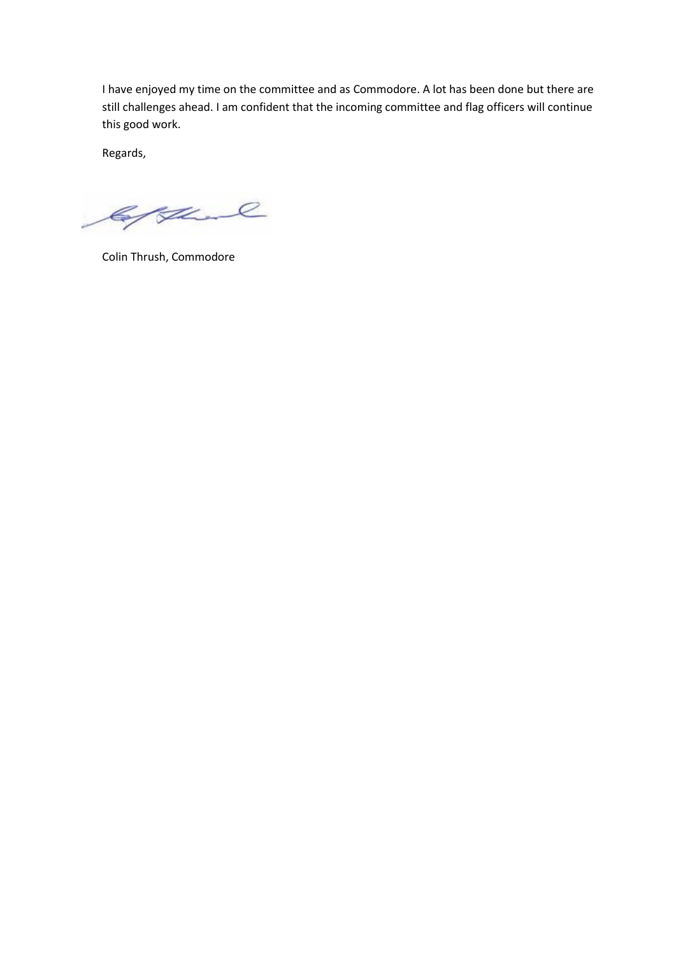I have enjoyed my time on the committee and as Commodore. A lot has been done but there are still challenges ahead. I am confident that the incoming committee and flag officers will continue this good work.

Regards,

Gythand

Colin Thrush, Commodore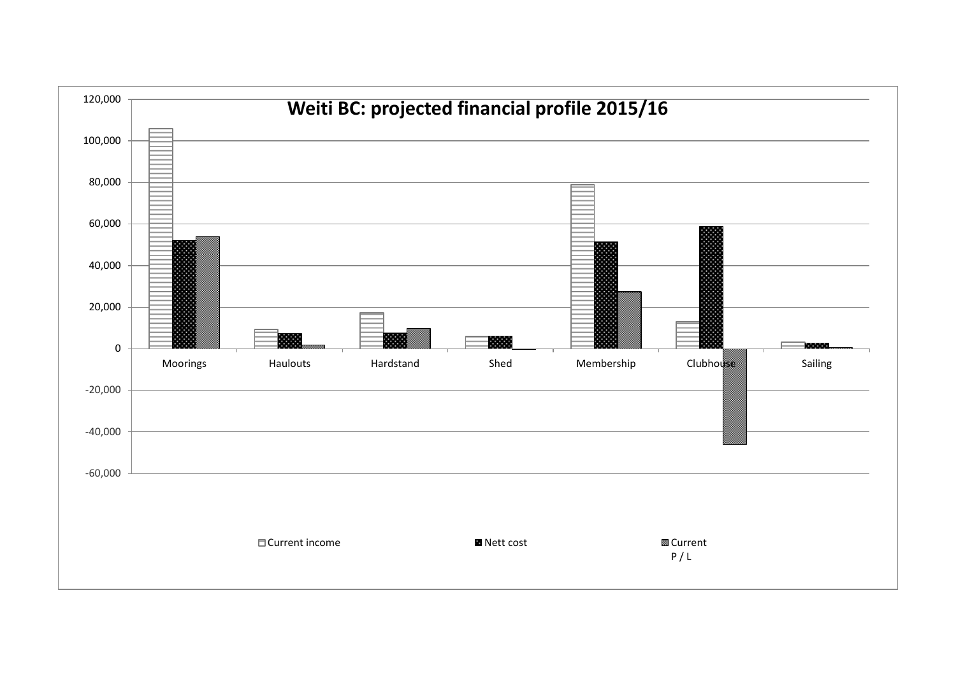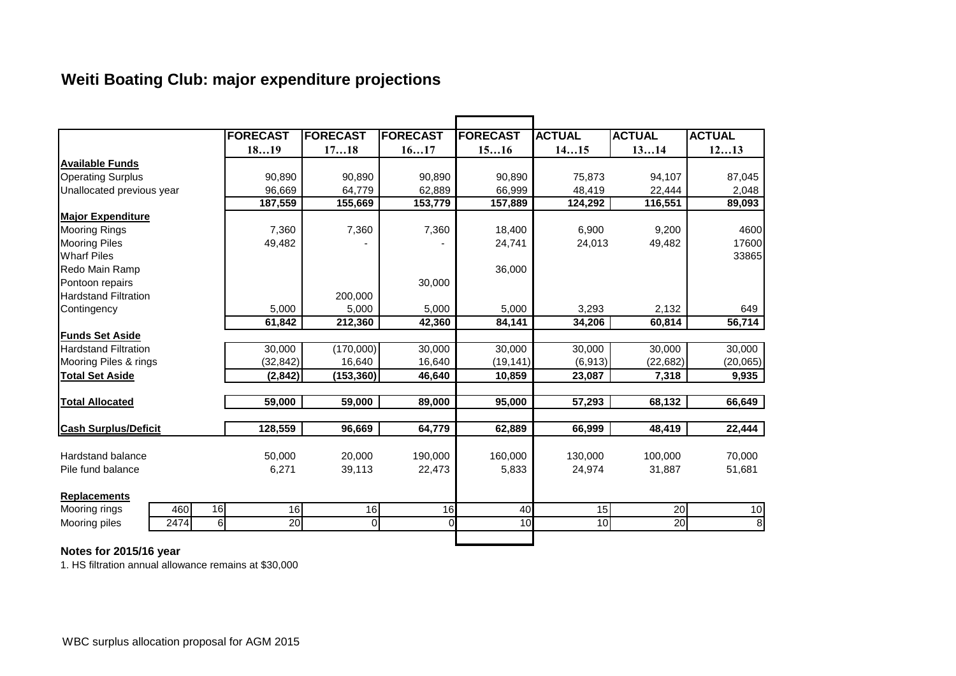# **Weiti Boating Club: major expenditure projections**

|                             | <b>FORECAST</b>      | <b>FORECAST</b> | <b>FORECAST</b> | <b>FORECAST</b> | <b>ACTUAL</b> | <b>ACTUAL</b>   | <b>ACTUAL</b> |
|-----------------------------|----------------------|-----------------|-----------------|-----------------|---------------|-----------------|---------------|
|                             | 1819                 | 1718            | 1617            | 1516            | 1415          | 1314            | 1213          |
| <b>Available Funds</b>      |                      |                 |                 |                 |               |                 |               |
| <b>Operating Surplus</b>    | 90,890               | 90,890          | 90,890          | 90,890          | 75,873        | 94,107          | 87,045        |
| Unallocated previous year   | 96,669               | 64,779          | 62,889          | 66.999          | 48,419        | 22,444          | 2,048         |
|                             | 187,559              | 155,669         | 153,779         | 157,889         | 124,292       | 116,551         | 89,093        |
| <b>Major Expenditure</b>    |                      |                 |                 |                 |               |                 |               |
| <b>Mooring Rings</b>        | 7,360                | 7,360           | 7,360           | 18,400          | 6,900         | 9,200           | 4600          |
| <b>Mooring Piles</b>        | 49,482               |                 |                 | 24,741          | 24,013        | 49,482          | 17600         |
| <b>Wharf Piles</b>          |                      |                 |                 |                 |               |                 | 33865         |
| Redo Main Ramp              |                      |                 |                 | 36,000          |               |                 |               |
| Pontoon repairs             |                      |                 | 30,000          |                 |               |                 |               |
| <b>Hardstand Filtration</b> |                      | 200,000         |                 |                 |               |                 |               |
| Contingency                 | 5,000                | 5,000           | 5,000           | 5,000           | 3,293         | 2,132           | 649           |
|                             | 61,842               | 212,360         | 42,360          | 84,141          | 34,206        | 60,814          | 56,714        |
| <b>Funds Set Aside</b>      |                      |                 |                 |                 |               |                 |               |
| <b>Hardstand Filtration</b> | 30,000               | (170,000)       | 30,000          | 30,000          | 30,000        | 30,000          | 30,000        |
| Mooring Piles & rings       | (32, 842)            | 16,640          | 16,640          | (19, 141)       | (6,913)       | (22, 682)       | (20, 065)     |
| <b>Total Set Aside</b>      | (2, 842)             | (153, 360)      | 46,640          | 10,859          | 23,087        | 7,318           | 9,935         |
| <b>Total Allocated</b>      | 59,000               | 59,000          | 89,000          | 95,000          | 57,293        | 68,132          | 66,649        |
|                             |                      |                 |                 |                 |               |                 |               |
| <b>Cash Surplus/Deficit</b> | 128,559              | 96,669          | 64,779          | 62,889          | 66,999        | 48,419          | 22,444        |
| Hardstand balance           | 50,000               | 20,000          | 190,000         | 160,000         | 130,000       | 100,000         | 70,000        |
| Pile fund balance           | 6,271                | 39,113          | 22,473          | 5,833           | 24,974        | 31,887          | 51,681        |
|                             |                      |                 |                 |                 |               |                 |               |
| <b>Replacements</b>         |                      |                 |                 |                 |               |                 |               |
| 460<br>Mooring rings        | 16<br>16             | 16              | 16              | 40              | 15            | 20              | 10            |
| Mooring piles<br>2474       | 6<br>$\overline{20}$ | $\overline{0}$  | 0               | 10              | 10            | $\overline{20}$ | 8             |
|                             |                      |                 |                 |                 |               |                 |               |

## **Notes for 2015/16 year**

1. HS filtration annual allowance remains at \$30,000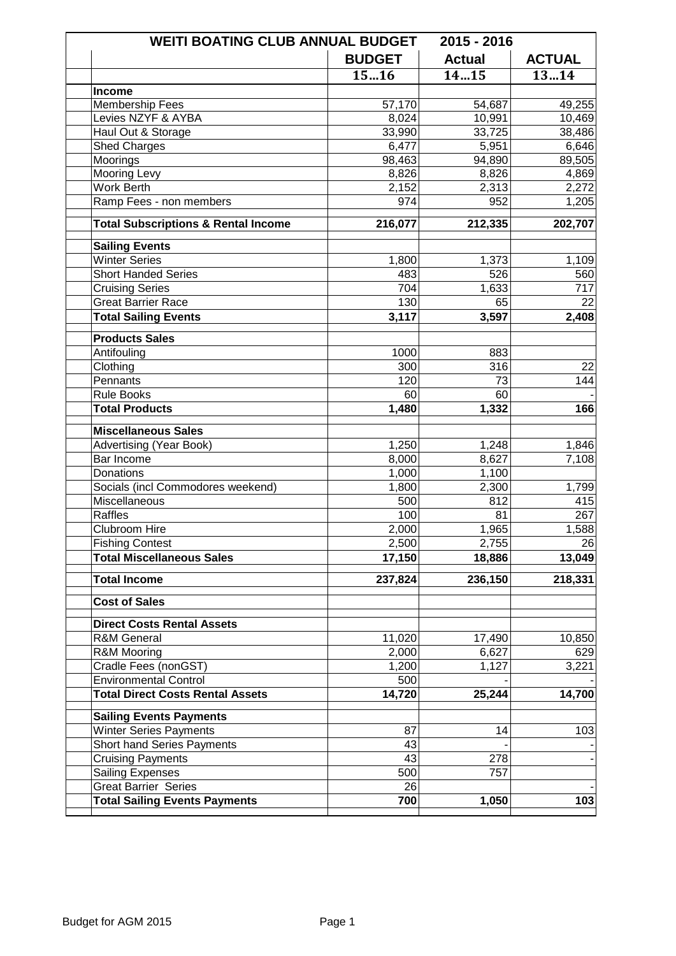| <b>WEITI BOATING CLUB ANNUAL BUDGET</b>        |               | 2015 - 2016   |               |
|------------------------------------------------|---------------|---------------|---------------|
|                                                | <b>BUDGET</b> | <b>Actual</b> | <b>ACTUAL</b> |
|                                                | 1516          | 1415          | 1314          |
| <b>Income</b>                                  |               |               |               |
| Membership Fees                                | 57,170        | 54,687        | 49,255        |
| Levies NZYF & AYBA                             | 8,024         | 10,991        | 10,469        |
| Haul Out & Storage                             | 33,990        | 33,725        | 38,486        |
| <b>Shed Charges</b>                            | 6,477         | 5,951         | 6,646         |
| Moorings                                       | 98,463        | 94,890        | 89,505        |
| <b>Mooring Levy</b>                            | 8,826         | 8,826         | 4,869         |
| Work Berth                                     | 2,152         | 2,313         | 2,272         |
| Ramp Fees - non members                        | 974           | 952           | 1,205         |
| <b>Total Subscriptions &amp; Rental Income</b> | 216,077       | 212,335       | 202,707       |
| <b>Sailing Events</b>                          |               |               |               |
| <b>Winter Series</b>                           | 1,800         | 1,373         | 1,109         |
| <b>Short Handed Series</b>                     | 483           | 526           | 560           |
| <b>Cruising Series</b>                         | 704           | 1,633         | 717           |
| <b>Great Barrier Race</b>                      | 130           | 65            | 22            |
| <b>Total Sailing Events</b>                    | 3,117         | 3,597         | 2,408         |
|                                                |               |               |               |
| <b>Products Sales</b>                          |               |               |               |
| Antifouling                                    | 1000          | 883           |               |
| Clothing                                       | 300           | 316           | 22            |
| Pennants                                       | 120           | 73            | 144           |
| <b>Rule Books</b>                              | 60            | 60            |               |
| <b>Total Products</b>                          | 1,480         | 1,332         | 166           |
| <b>Miscellaneous Sales</b>                     |               |               |               |
| <b>Advertising (Year Book)</b>                 | 1,250         | 1,248         | 1,846         |
| Bar Income                                     | 8,000         | 8,627         | 7,108         |
| <b>Donations</b>                               | 1,000         | 1,100         |               |
| Socials (incl Commodores weekend)              | 1,800         | 2,300         | 1,799         |
| Miscellaneous                                  | 500           | 812           | 415           |
| <b>Raffles</b>                                 | 100           | 81            | 267           |
| Clubroom Hire                                  | 2,000         | 1,965         | 1,588         |
| <b>Fishing Contest</b>                         | 2,500         | 2,755         | 26            |
| <b>Total Miscellaneous Sales</b>               | 17,150        | 18,886        | 13,049        |
| <b>Total Income</b>                            | 237,824       | 236,150       | 218,331       |
| <b>Cost of Sales</b>                           |               |               |               |
| <b>Direct Costs Rental Assets</b>              |               |               |               |
| <b>R&amp;M General</b>                         | 11,020        | 17,490        | 10,850        |
| R&M Mooring                                    | 2,000         | 6,627         | 629           |
| Cradle Fees (nonGST)                           | 1,200         | 1,127         | 3,221         |
| <b>Environmental Control</b>                   | 500           |               |               |
| <b>Total Direct Costs Rental Assets</b>        | 14,720        | 25,244        | 14,700        |
|                                                |               |               |               |
| <b>Sailing Events Payments</b>                 |               |               |               |
| <b>Winter Series Payments</b>                  | 87            | 14            | 103           |
| Short hand Series Payments                     | 43            |               |               |
| <b>Cruising Payments</b>                       | 43            | 278           |               |
| Sailing Expenses                               | 500           | 757           |               |
| <b>Great Barrier Series</b>                    | 26            |               |               |